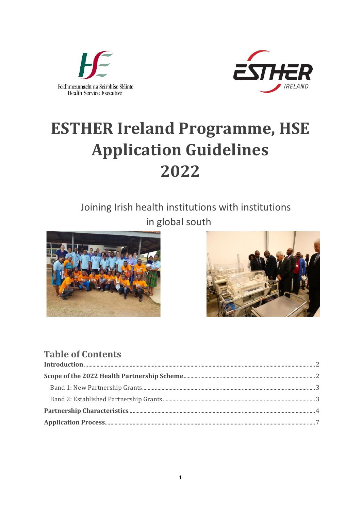



# **ESTHER Ireland Programme, HSE Application Guidelines** 2022

# Joining Irish health institutions with institutions in global south





# **Table of Contents**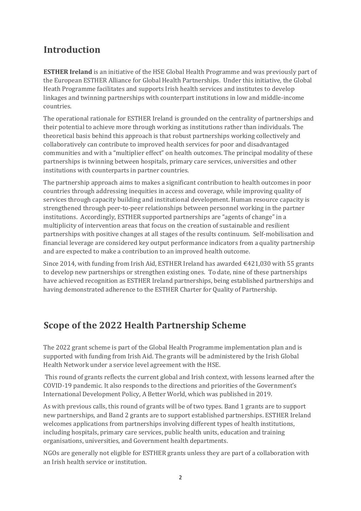# <span id="page-1-0"></span>**Introduction**

**ESTHER Ireland** is an initiative of the HSE Global Health Programme and was previously part of the European ESTHER Alliance for Global Health Partnerships. Under this initiative, the Global Heath Programme facilitates and supports Irish health services and institutes to develop linkages and twinning partnerships with counterpart institutions in low and middle-income countries.

The operational rationale for ESTHER Ireland is grounded on the centrality of partnerships and their potential to achieve more through working as institutions rather than individuals. The theoretical basis behind this approach is that robust partnerships working collectively and collaboratively can contribute to improved health services for poor and disadvantaged communities and with a "multiplier effect" on health outcomes. The principal modality of these partnerships is twinning between hospitals, primary care services, universities and other institutions with counterparts in partner countries.

The partnership approach aims to makes a significant contribution to health outcomes in poor countries through addressing inequities in access and coverage, while improving quality of services through capacity building and institutional development. Human resource capacity is strengthened through peer-to-peer relationships between personnel working in the partner institutions. Accordingly, ESTHER supported partnerships are "agents of change" in a multiplicity of intervention areas that focus on the creation of sustainable and resilient partnerships with positive changes at all stages of the results continuum. Self-mobilisation and financial leverage are considered key output performance indicators from a quality partnership and are expected to make a contribution to an improved health outcome.

Since 2014, with funding from Irish Aid, ESTHER Ireland has awarded  $\epsilon$ 421,030 with 55 grants to develop new partnerships or strengthen existing ones. To date, nine of these partnerships have achieved recognition as ESTHER Ireland partnerships, being established partnerships and having demonstrated adherence to the ESTHER Charter for Quality of Partnership.

# <span id="page-1-1"></span>**Scope of the 2022 Health Partnership Scheme**

The 2022 grant scheme is part of the Global Health Programme implementation plan and is supported with funding from Irish Aid. The grants will be administered by the Irish Global Health Network under a service level agreement with the HSE.

This round of grants reflects the current global and Irish context, with lessons learned after the COVID-19 pandemic. It also responds to the directions and priorities of the Government's International Development Policy, A Better World, which was published in 2019.

As with previous calls, this round of grants will be of two types. Band 1 grants are to support new partnerships, and Band 2 grants are to support established partnerships. ESTHER Ireland welcomes applications from partnerships involving different types of health institutions, including hospitals, primary care services, public health units, education and training organisations, universities, and Government health departments.

NGOs are generally not eligible for ESTHER grants unless they are part of a collaboration with an Irish health service or institution.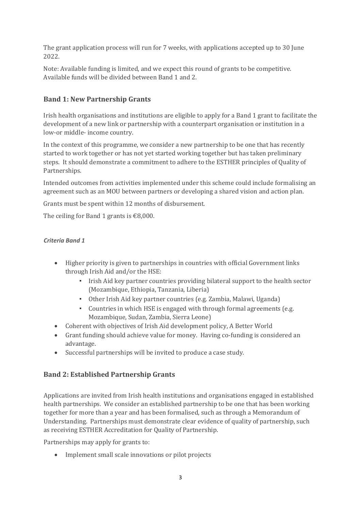The grant application process will run for 7 weeks, with applications accepted up to 30 June 2022.

Note: Available funding is limited, and we expect this round of grants to be competitive. Available funds will be divided between Band 1 and 2.

#### <span id="page-2-0"></span>**Band 1: New Partnership Grants**

Irish health organisations and institutions are eligible to apply for a Band 1 grant to facilitate the development of a new link or partnership with a counterpart organisation or institution in a low-or middle- income country.

In the context of this programme, we consider a new partnership to be one that has recently started to work together or has not yet started working together but has taken preliminary steps. It should demonstrate a commitment to adhere to the ESTHER principles of Quality of Partnerships.

Intended outcomes from activities implemented under this scheme could include formalising an agreement such as an MOU between partners or developing a shared vision and action plan.

Grants must be spent within 12 months of disbursement.

The ceiling for Band 1 grants is  $\text{\textsterling}8,000$ .

#### *Criteria Band 1*

- Higher priority is given to partnerships in countries with official Government links through Irish Aid and/or the HSE:
	- Irish Aid key partner countries providing bilateral support to the health sector (Mozambique, Ethiopia, Tanzania, Liberia)
	- Other Irish Aid key partner countries (e.g. Zambia, Malawi, Uganda)
	- Countries in which HSE is engaged with through formal agreements (e.g. Mozambique, Sudan, Zambia, Sierra Leone)
- Coherent with objectives of Irish Aid development policy, A Better World
- Grant funding should achieve value for money. Having co-funding is considered an advantage.
- Successful partnerships will be invited to produce a case study.

#### <span id="page-2-1"></span>**Band 2: Established Partnership Grants**

Applications are invited from Irish health institutions and organisations engaged in established health partnerships. We consider an established partnership to be one that has been working together for more than a year and has been formalised, such as through a Memorandum of Understanding. Partnerships must demonstrate clear evidence of quality of partnership, such as receiving ESTHER Accreditation for Quality of Partnership.

Partnerships may apply for grants to:

• Implement small scale innovations or pilot projects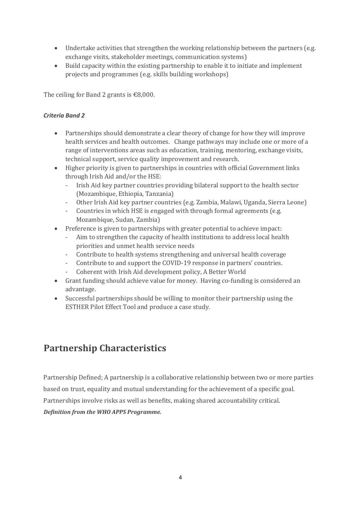- Undertake activities that strengthen the working relationship between the partners (e.g. exchange visits, stakeholder meetings, communication systems)
- Build capacity within the existing partnership to enable it to initiate and implement projects and programmes (e.g. skills building workshops)

The ceiling for Band 2 grants is  $€8,000$ .

#### *Criteria Band 2*

- Partnerships should demonstrate a clear theory of change for how they will improve health services and health outcomes. Change pathways may include one or more of a range of interventions areas such as education, training, mentoring, exchange visits, technical support, service quality improvement and research.
- Higher priority is given to partnerships in countries with official Government links through Irish Aid and/or the HSE:
	- Irish Aid key partner countries providing bilateral support to the health sector (Mozambique, Ethiopia, Tanzania)
	- Other Irish Aid key partner countries (e.g. Zambia, Malawi, Uganda, Sierra Leone)
	- Countries in which HSE is engaged with through formal agreements (e.g. Mozambique, Sudan, Zambia)
- Preference is given to partnerships with greater potential to achieve impact:
	- Aim to strengthen the capacity of health institutions to address local health priorities and unmet health service needs
	- Contribute to health systems strengthening and universal health coverage
	- Contribute to and support the COVID-19 response in partners' countries.
	- Coherent with Irish Aid development policy, A Better World
- Grant funding should achieve value for money. Having co-funding is considered an advantage.
- Successful partnerships should be willing to monitor their partnership using the ESTHER Pilot Effect Tool and produce a case study.

# <span id="page-3-0"></span>**Partnership Characteristics**

Partnership Defined; A partnership is a collaborative relationship between two or more parties based on trust, equality and mutual understanding for the achievement of a specific goal. Partnerships involve risks as well as benefits, making shared accountability critical*. Definition from the WHO APPS Programme.*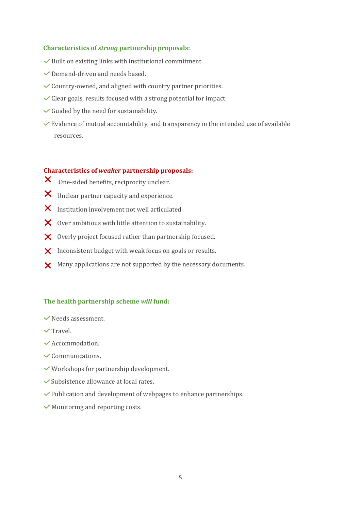#### **Characteristics of** *strong* **partnership proposals:**

- $\triangledown$  Built on existing links with institutional commitment.
- $\vee$  Demand-driven and needs based.
- $\checkmark$  Country-owned, and aligned with country partner priorities.
- $\checkmark$  Clear goals, results focused with a strong potential for impact.
- $\checkmark$  Guided by the need for sustainability.
- $\vee$  Evidence of mutual accountability, and transparency in the intended use of available resources.

#### **Characteristics of** *weaker* **partnership proposals:**

- $\boldsymbol{\mathsf{X}}$  . One-sided benefits, reciprocity unclear.
- X Unclear partner capacity and experience.
- $\boldsymbol{\times}$  Institution involvement not well articulated.
- $\boldsymbol{\times}$  Over ambitious with little attention to sustainability.
- $\boldsymbol{\times}$  Overly project focused rather than partnership focused.
- X Inconsistent budget with weak focus on goals or results.
- $\times$  Many applications are not supported by the necessary documents.

#### **The health partnership scheme** *will* **fund:**

- $\vee$  Needs assessment.
- $\sqrt{T}$ ravel
- Accommodation.
- $\checkmark$  Communications.
- Workshops for partnership development.
- $\checkmark$  Subsistence allowance at local rates.
- $\vee$  Publication and development of webpages to enhance partnerships.
- $\checkmark$  Monitoring and reporting costs.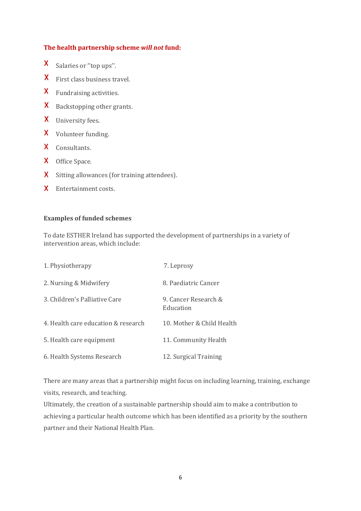#### **The health partnership scheme** *will not* **fund:**

- $\mathsf{X}^-$ Salaries or "top ups".
- First class business travel.
- Fundraising activities.
- **X** Backstopping other grants.
- University fees.
- X Volunteer funding.
- X Consultants.
- X Office Space.
- X Sitting allowances (for training attendees).
- X Entertainment costs.

#### **Examples of funded schemes**

To date ESTHER Ireland has supported the development of partnerships in a variety of intervention areas, which include:

| 1. Physiotherapy                    | 7. Leprosy                        |
|-------------------------------------|-----------------------------------|
| 2. Nursing & Midwifery              | 8. Paediatric Cancer              |
| 3. Children's Palliative Care       | 9. Cancer Research &<br>Education |
| 4. Health care education & research | 10. Mother & Child Health         |
| 5. Health care equipment            | 11. Community Health              |
| 6. Health Systems Research          | 12. Surgical Training             |

There are many areas that a partnership might focus on including learning, training, exchange visits, research, and teaching.

Ultimately, the creation of a sustainable partnership should aim to make a contribution to achieving a particular health outcome which has been identified as a priority by the southern partner and their National Health Plan.